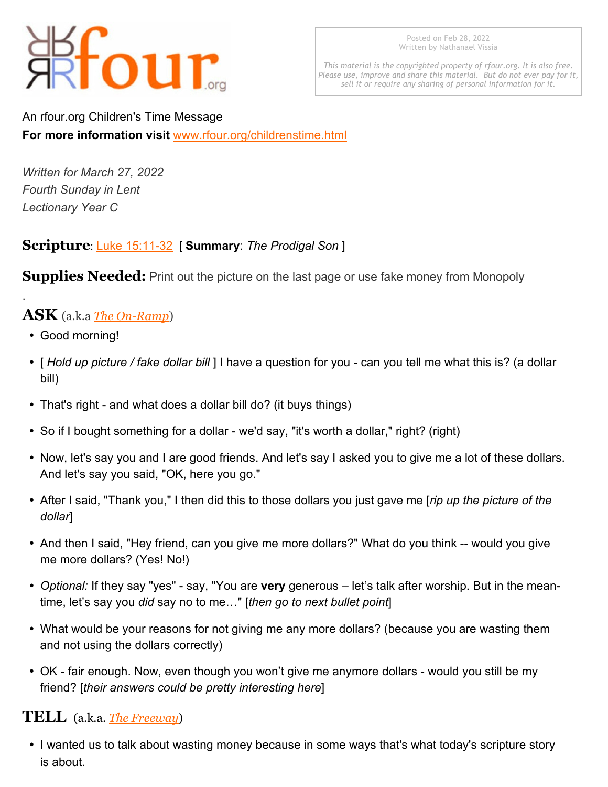# four

Posted on Feb 28, 2022 Written by Nathanael Vissia

*This material is the copyrighted property of rfour.org. It is also free. Please use, improve and share this material. But do not ever pay for it, sell it or require any sharing of personal information for it.*

An rfour.org Children's Time Message **For more information visit** <www.rfour.org/childrenstime.html>

*Written for March 27, 2022 Fourth Sunday in Lent Lectionary Year C*

#### **Scripture**: [Luke 15:11-32](http://bible.oremus.org/?ql=419167559) [ **Summary**: *The Prodigal Son* ]

**Supplies Needed:** Print out the picture on the last page or use fake money from Monopoly

# **ASK** (a.k.a *[The On-Ramp](http://www.rfour.org/childrenstime.html#compontents_of_childrens_message)*)

• Good morning!

.

- ü [ *Hold up picture / fake dollar bill* ] I have a question for you can you tell me what this is? (a dollar bill)
- That's right and what does a dollar bill do? (it buys things)
- So if I bought something for a dollar we'd say, "it's worth a dollar," right? (right)
- Now, let's say you and I are good friends. And let's say I asked you to give me a lot of these dollars. And let's say you said, "OK, here you go."
- ü After I said, "Thank you," I then did this to those dollars you just gave me [*rip up the picture of the dollar*]
- And then I said, "Hey friend, can you give me more dollars?" What do you think -- would you give me more dollars? (Yes! No!)
- ü *Optional:* If they say "yes" say, "You are **very** generous let's talk after worship. But in the meantime, let's say you *did* say no to me…" [*then go to next bullet point*]
- What would be your reasons for not giving me any more dollars? (because you are wasting them and not using the dollars correctly)
- OK fair enough. Now, even though you won't give me anymore dollars would you still be my friend? [*their answers could be pretty interesting here*]

### **TELL** (a.k.a. *[The Freeway](http://www.rfour.org/childrenstime.html#compontents_of_childrens_message)*)

• I wanted us to talk about wasting money because in some ways that's what today's scripture story is about.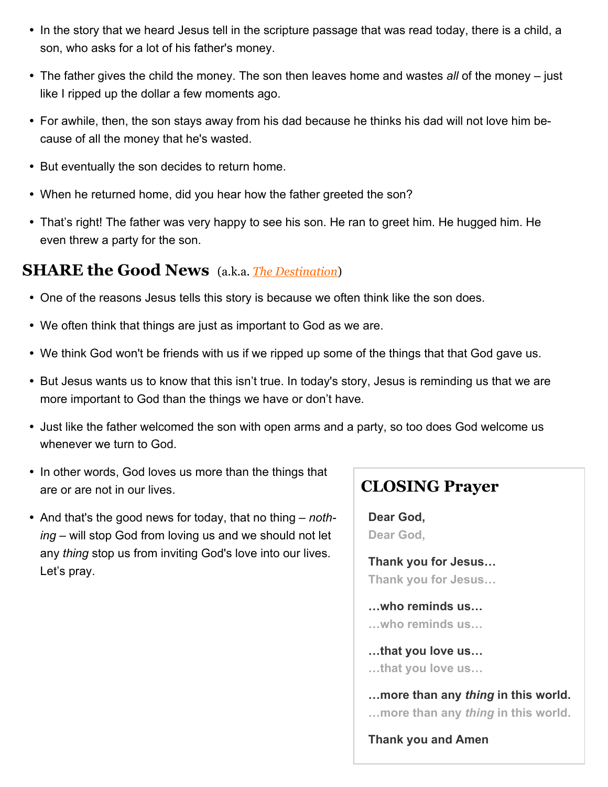- In the story that we heard Jesus tell in the scripture passage that was read today, there is a child, a son, who asks for a lot of his father's money.
- The father gives the child the money. The son then leaves home and wastes *all* of the money just like I ripped up the dollar a few moments ago.
- For awhile, then, the son stays away from his dad because he thinks his dad will not love him because of all the money that he's wasted.
- But eventually the son decides to return home.
- When he returned home, did you hear how the father greeted the son?
- That's right! The father was very happy to see his son. He ran to greet him. He hugged him. He even threw a party for the son.

#### **SHARE the Good News** (a.k.a. *[The Destination](http://www.rfour.org/childrenstime.html#compontents_of_childrens_message)*)

- One of the reasons Jesus tells this story is because we often think like the son does.
- We often think that things are just as important to God as we are.
- We think God won't be friends with us if we ripped up some of the things that that God gave us.
- But Jesus wants us to know that this isn't true. In today's story, Jesus is reminding us that we are more important to God than the things we have or don't have.
- Just like the father welcomed the son with open arms and a party, so too does God welcome us whenever we turn to God.
- In other words, God loves us more than the things that are or are not in our lives.
- And that's the good news for today, that no thing *nothing* – will stop God from loving us and we should not let any *thing* stop us from inviting God's love into our lives. Let's pray.

# **CLOSING Prayer**

**Dear God, Dear God,**

**Thank you for Jesus… Thank you for Jesus…**

**…who reminds us… …who reminds us…**

**…that you love us… …that you love us…**

**…more than any** *thing* **in this world. …more than any** *thing* **in this world.**

**Thank you and Amen**